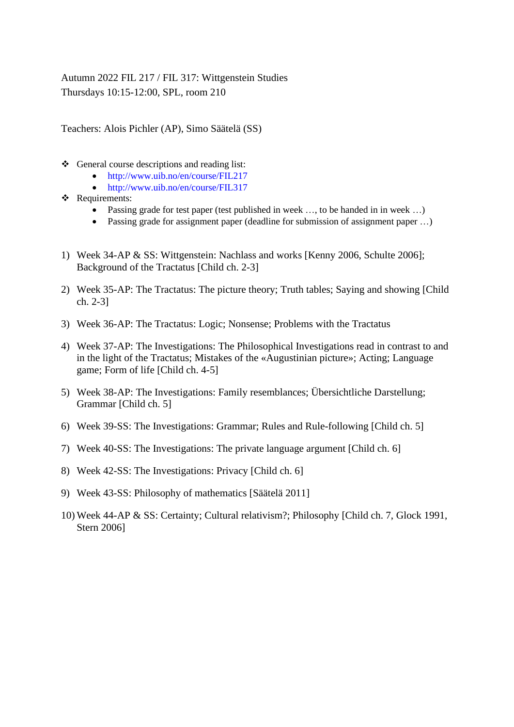Autumn 2022 FIL 217 / FIL 317: Wittgenstein Studies Thursdays 10:15-12:00, SPL, room 210

Teachers: Alois Pichler (AP), Simo Säätelä (SS)

- ❖ General course descriptions and reading list:
	- <http://www.uib.no/en/course/FIL217>
	- <http://www.uib.no/en/course/FIL317>
- ❖ Requirements:
	- Passing grade for test paper (test published in week ..., to be handed in in week ...)
	- Passing grade for assignment paper (deadline for submission of assignment paper ...)
- 1) Week 34-AP & SS: Wittgenstein: Nachlass and works [Kenny 2006, Schulte 2006]; Background of the Tractatus [Child ch. 2-3]
- 2) Week 35-AP: The Tractatus: The picture theory; Truth tables; Saying and showing [Child ch. 2-3]
- 3) Week 36-AP: The Tractatus: Logic; Nonsense; Problems with the Tractatus
- 4) Week 37-AP: The Investigations: The Philosophical Investigations read in contrast to and in the light of the Tractatus; Mistakes of the «Augustinian picture»; Acting; Language game; Form of life [Child ch. 4-5]
- 5) Week 38-AP: The Investigations: Family resemblances; Übersichtliche Darstellung; Grammar [Child ch. 5]
- 6) Week 39-SS: The Investigations: Grammar; Rules and Rule-following [Child ch. 5]
- 7) Week 40-SS: The Investigations: The private language argument [Child ch. 6]
- 8) Week 42-SS: The Investigations: Privacy [Child ch. 6]
- 9) Week 43-SS: Philosophy of mathematics [Säätelä 2011]
- 10) Week 44-AP & SS: Certainty; Cultural relativism?; Philosophy [Child ch. 7, Glock 1991, Stern 2006]